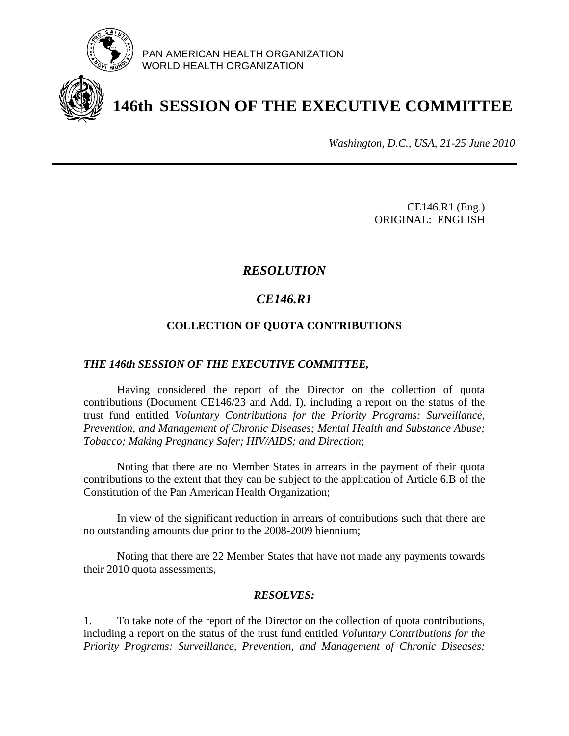

PAN AMERICAN HEALTH ORGANIZATION WORLD HEALTH ORGANIZATION

# **146th SESSION OF THE EXECUTIVE COMMITTEE**

*Washington, D.C., USA, 21-25 June 2010*

 CE146.R1 (Eng.) ORIGINAL: ENGLISH

# *RESOLUTION*

# *CE146.R1*

## **COLLECTION OF QUOTA CONTRIBUTIONS**

#### *THE 146th SESSION OF THE EXECUTIVE COMMITTEE,*

 Having considered the report of the Director on the collection of quota contributions (Document CE146/23 and Add. I), including a report on the status of the trust fund entitled *Voluntary Contributions for the Priority Programs: Surveillance, Prevention, and Management of Chronic Diseases; Mental Health and Substance Abuse; Tobacco; Making Pregnancy Safer; HIV/AIDS; and Direction*;

 Noting that there are no Member States in arrears in the payment of their quota contributions to the extent that they can be subject to the application of Article 6.B of the Constitution of the Pan American Health Organization;

 In view of the significant reduction in arrears of contributions such that there are no outstanding amounts due prior to the 2008-2009 biennium;

 Noting that there are 22 Member States that have not made any payments towards their 2010 quota assessments,

### *RESOLVES:*

1. To take note of the report of the Director on the collection of quota contributions, including a report on the status of the trust fund entitled *Voluntary Contributions for the Priority Programs: Surveillance, Prevention, and Management of Chronic Diseases;*